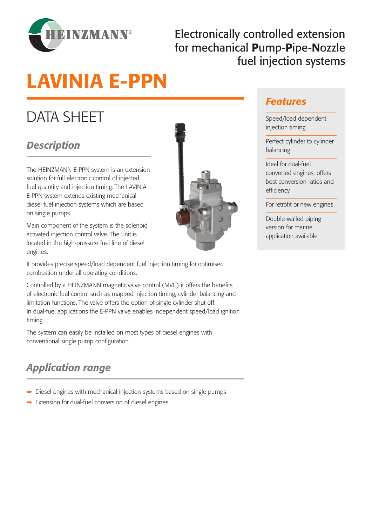

## Electronically controlled extension for mechanical Pump-Pipe-Nozzle fuel injection systems

# LAVINIA E-PPN

## DATA SHEET

## *Description*

The HEINZMANN E-PPN system is an extension solution for full electronic control of injected fuel quantity and injection timing. The LAVINIA E-PPN system extends existing mechanical diesel fuel injection systems which are based on single pumps.

Main component of the system is the solenoid activated injection control valve. The unit is located in the high-pressure fuel line of diesel engines.



#### It provides precise speed/load dependent fuel injection timing for optimised combustion under all operating conditions.

Controlled by a HEINZMANN magnetic valve control (MVC) it offers the benefits of electronic fuel control such as mapped injection timing, cylinder balancing and limitation functions. The valve offers the option of single cylinder shut-off. In dual-fuel applications the E-PPN valve enables independent speed/load ignition timing.

The system can easily be installed on most types of diesel engines with conventional single pump configuration.

## *Application range*

- Diesel engines with mechanical injection systems based on single pumps
- $\rightarrow$  Extension for dual-fuel conversion of diesel engines

### *Features*

Speed/load dependent injection timing

Perfect cylinder to cylinder balancing

Ideal for dual-fuel converted engines, offers best conversion ratios and efficiency

For retrofit or new engines

Double-walled piping version for marine application available